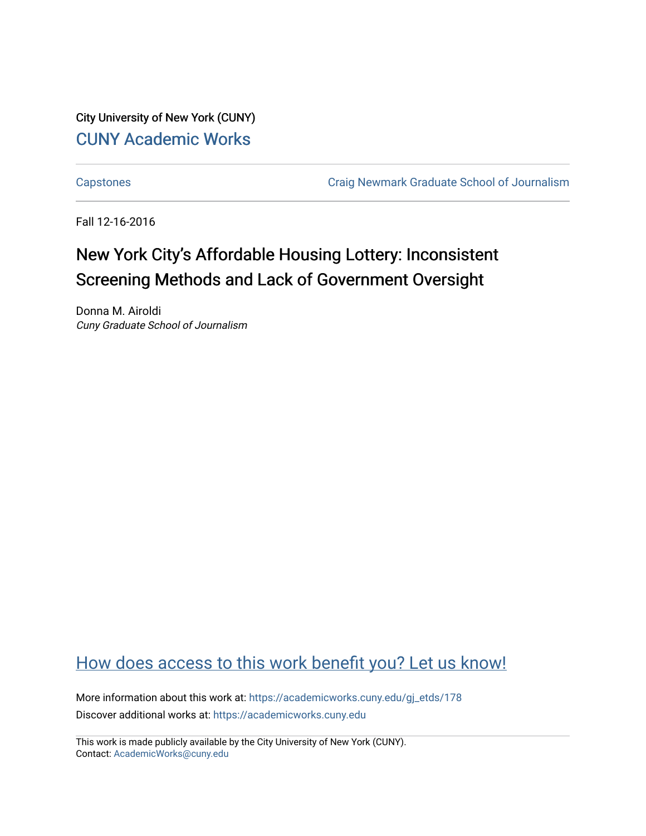City University of New York (CUNY) [CUNY Academic Works](https://academicworks.cuny.edu/) 

[Capstones](https://academicworks.cuny.edu/gj_etds) [Craig Newmark Graduate School of Journalism](https://academicworks.cuny.edu/gj) 

Fall 12-16-2016

# New York City's Affordable Housing Lottery: Inconsistent Screening Methods and Lack of Government Oversight

Donna M. Airoldi Cuny Graduate School of Journalism

# [How does access to this work benefit you? Let us know!](http://ols.cuny.edu/academicworks/?ref=https://academicworks.cuny.edu/gj_etds/178)

More information about this work at: [https://academicworks.cuny.edu/gj\\_etds/178](https://academicworks.cuny.edu/gj_etds/178)  Discover additional works at: [https://academicworks.cuny.edu](https://academicworks.cuny.edu/?)

This work is made publicly available by the City University of New York (CUNY). Contact: [AcademicWorks@cuny.edu](mailto:AcademicWorks@cuny.edu)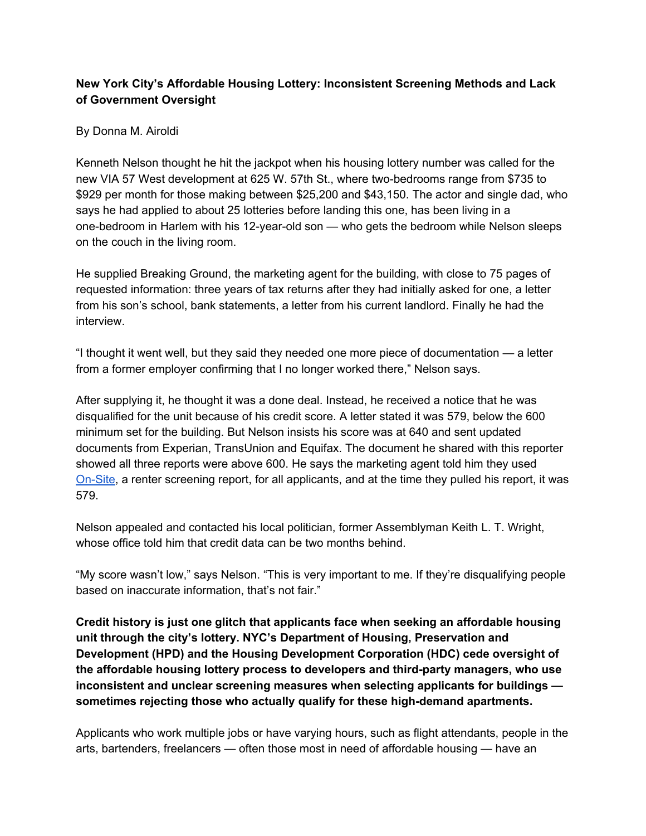# **New York City's Affordable Housing Lottery: Inconsistent Screening Methods and Lack of Government Oversight**

# By Donna M. Airoldi

Kenneth Nelson thought he hit the jackpot when his housing lottery number was called for the new VIA 57 West development at 625 W. 57th St., where two-bedrooms range from \$735 to \$929 per month for those making between \$25,200 and \$43,150. The actor and single dad, who says he had applied to about 25 lotteries before landing this one, has been living in a one-bedroom in Harlem with his 12-year-old son — who gets the bedroom while Nelson sleeps on the couch in the living room.

He supplied Breaking Ground, the marketing agent for the building, with close to 75 pages of requested information: three years of tax returns after they had initially asked for one, a letter from his son's school, bank statements, a letter from his current landlord. Finally he had the interview.

"I thought it went well, but they said they needed one more piece of documentation — a letter from a former employer confirming that I no longer worked there," Nelson says.

After supplying it, he thought it was a done deal. Instead, he received a notice that he was disqualified for the unit because of his credit score. A letter stated it was 579, below the 600 minimum set for the building. But Nelson insists his score was at 640 and sent updated documents from Experian, TransUnion and Equifax. The document he shared with this reporter showed all three reports were above 600. He says the marketing agent told him they used [On-Site,](http://www.on-site.com/online-leasing/applicant-products/screening/) a renter screening report, for all applicants, and at the time they pulled his report, it was 579.

Nelson appealed and contacted his local politician, former Assemblyman Keith L. T. Wright, whose office told him that credit data can be two months behind.

"My score wasn't low," says Nelson. "This is very important to me. If they're disqualifying people based on inaccurate information, that's not fair."

**Credit history is just one glitch that applicants face when seeking an affordable housing unit through the city's lottery. NYC's Department of Housing, Preservation and Development (HPD) and the Housing Development Corporation (HDC) cede oversight of the affordable housing lottery process to developers and third-party managers, who use inconsistent and unclear screening measures when selecting applicants for buildings sometimes rejecting those who actually qualify for these high-demand apartments.**

Applicants who work multiple jobs or have varying hours, such as flight attendants, people in the arts, bartenders, freelancers — often those most in need of affordable housing — have an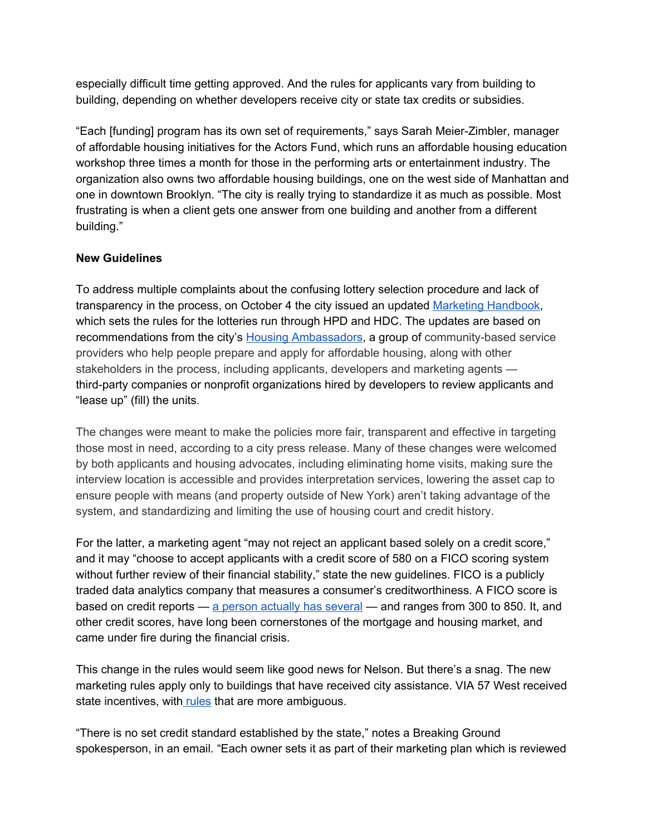especially difficult time getting approved. And the rules for applicants vary from building to building, depending on whether developers receive city or state tax credits or subsidies.

"Each [funding] program has its own set of requirements," says Sarah Meier-Zimbler, manager of affordable housing initiatives for the Actors Fund, which runs an affordable housing education workshop three times a month for those in the performing arts or entertainment industry. The organization also owns two affordable housing buildings, one on the west side of Manhattan and one in downtown Brooklyn. "The city is really trying to standardize it as much as possible. Most frustrating is when a client gets one answer from one building and another from a different building."

# **New Guidelines**

To address multiple complaints about the confusing lottery selection procedure and lack of transparency in the process, on October 4 the city issued an updated Marketing [Handbook,](https://www1.nyc.gov/assets/hpd/downloads/pdf/developers/marketing-handbook.pdf) which sets the rules for the lotteries run through HPD and HDC. The updates are based on recommendations from the city's Housing [Ambassadors,](http://www1.nyc.gov/site/hpd/renters/housing-ambassadors.page) a group of community-based service providers who help people prepare and apply for affordable housing, along with other stakeholders in the process, including applicants, developers and marketing agents third-party companies or nonprofit organizations hired by developers to review applicants and "lease up" (fill) the units.

The changes were meant to make the policies more fair, transparent and effective in targeting those most in need, according to a city press release. Many of these changes were welcomed by both applicants and housing advocates, including eliminating home visits, making sure the interview location is accessible and provides interpretation services, lowering the asset cap to ensure people with means (and property outside of New York) aren't taking advantage of the system, and standardizing and limiting the use of housing court and credit history.

For the latter, a marketing agent "may not reject an applicant based solely on a credit score," and it may "choose to accept applicants with a credit score of 580 on a FICO scoring system without further review of their financial stability," state the new guidelines. FICO is a publicly traded data analytics company that measures a consumer's creditworthiness. A FICO score is based on credit reports — a person [actually has several](https://www.nerdwallet.com/blog/finance/comparing-credit-scores/) — and ranges from 300 to 850. It, and other credit scores, have long been cornerstones of the mortgage and housing market, and came under fire during the financial crisis.

This change in the rules would seem like good news for Nelson. But there's a snag. The new marketing rules apply only to buildings that have received city assistance. VIA 57 West received state incentives, wit[h rules](http://www.nyshcr.org/Forms/FairHousing/AFHMP-Guidelines.pdf) that are more ambiguous.

"There is no set credit standard established by the state," notes a Breaking Ground spokesperson, in an email. "Each owner sets it as part of their marketing plan which is reviewed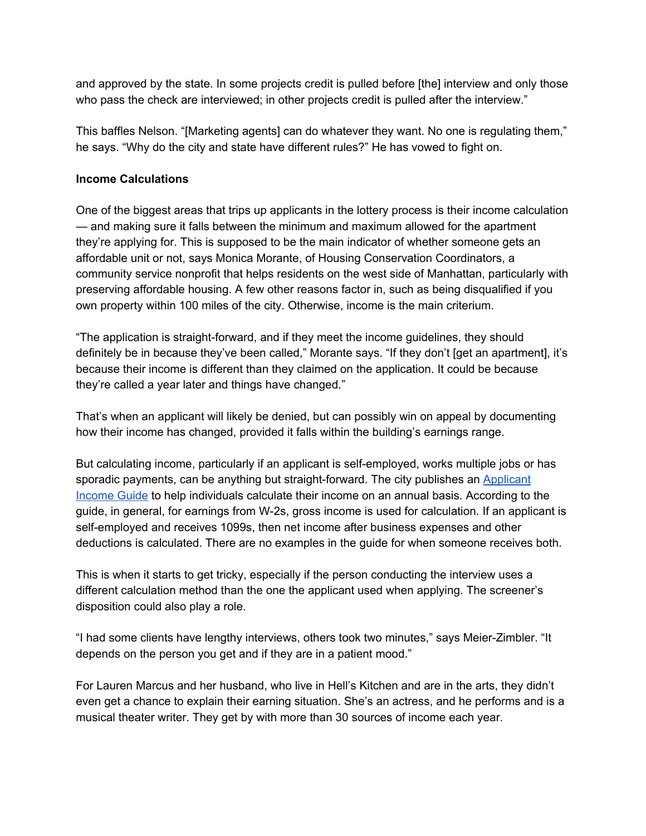and approved by the state. In some projects credit is pulled before [the] interview and only those who pass the check are interviewed; in other projects credit is pulled after the interview."

This baffles Nelson. "[Marketing agents] can do whatever they want. No one is regulating them," he says. "Why do the city and state have different rules?" He has vowed to fight on.

#### **Income Calculations**

One of the biggest areas that trips up applicants in the lottery process is their income calculation — and making sure it falls between the minimum and maximum allowed for the apartment they're applying for. This is supposed to be the main indicator of whether someone gets an affordable unit or not, says Monica Morante, of Housing Conservation Coordinators, a community service nonprofit that helps residents on the west side of Manhattan, particularly with preserving affordable housing. A few other reasons factor in, such as being disqualified if you own property within 100 miles of the city. Otherwise, income is the main criterium.

"The application is straight-forward, and if they meet the income guidelines, they should definitely be in because they've been called," Morante says. "If they don't [get an apartment], it's because their income is different than they claimed on the application. It could be because they're called a year later and things have changed."

That's when an applicant will likely be denied, but can possibly win on appeal by documenting how their income has changed, provided it falls within the building's earnings range.

But calculating income, particularly if an applicant is self-employed, works multiple jobs or has sporadic payments, can be anything but straight-forward. The city publishes an [Applicant](http://www1.nyc.gov/assets/hpd/downloads/pdf/renter-resources/income-guide.pdf) [Income Guide](http://www1.nyc.gov/assets/hpd/downloads/pdf/renter-resources/income-guide.pdf) to help individuals calculate their income on an annual basis. According to the guide, in general, for earnings from W-2s, gross income is used for calculation. If an applicant is self-employed and receives 1099s, then net income after business expenses and other deductions is calculated. There are no examples in the guide for when someone receives both.

This is when it starts to get tricky, especially if the person conducting the interview uses a different calculation method than the one the applicant used when applying. The screener's disposition could also play a role.

"I had some clients have lengthy interviews, others took two minutes," says Meier-Zimbler. "It depends on the person you get and if they are in a patient mood."

For Lauren Marcus and her husband, who live in Hell's Kitchen and are in the arts, they didn't even get a chance to explain their earning situation. She's an actress, and he performs and is a musical theater writer. They get by with more than 30 sources of income each year.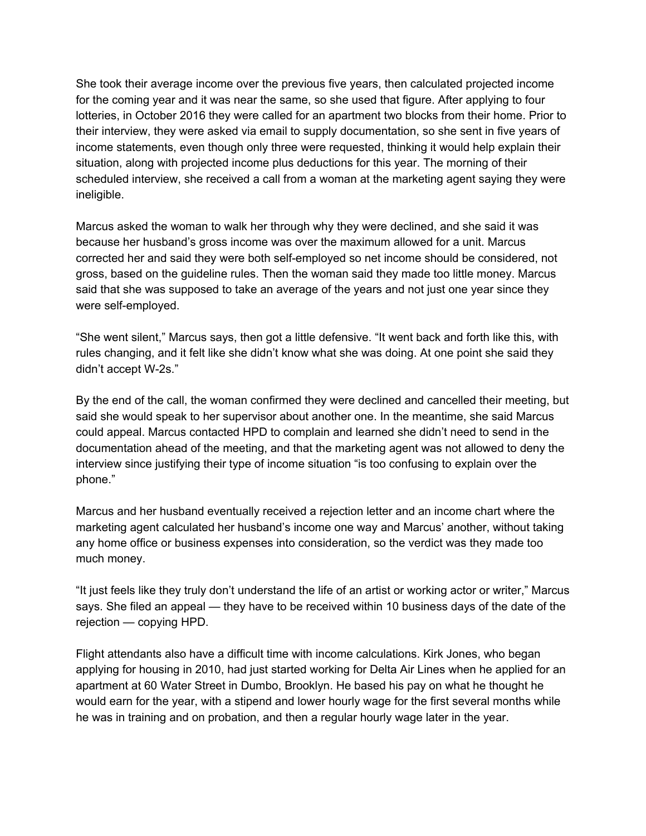She took their average income over the previous five years, then calculated projected income for the coming year and it was near the same, so she used that figure. After applying to four lotteries, in October 2016 they were called for an apartment two blocks from their home. Prior to their interview, they were asked via email to supply documentation, so she sent in five years of income statements, even though only three were requested, thinking it would help explain their situation, along with projected income plus deductions for this year. The morning of their scheduled interview, she received a call from a woman at the marketing agent saying they were ineligible.

Marcus asked the woman to walk her through why they were declined, and she said it was because her husband's gross income was over the maximum allowed for a unit. Marcus corrected her and said they were both self-employed so net income should be considered, not gross, based on the guideline rules. Then the woman said they made too little money. Marcus said that she was supposed to take an average of the years and not just one year since they were self-employed.

"She went silent," Marcus says, then got a little defensive. "It went back and forth like this, with rules changing, and it felt like she didn't know what she was doing. At one point she said they didn't accept W-2s."

By the end of the call, the woman confirmed they were declined and cancelled their meeting, but said she would speak to her supervisor about another one. In the meantime, she said Marcus could appeal. Marcus contacted HPD to complain and learned she didn't need to send in the documentation ahead of the meeting, and that the marketing agent was not allowed to deny the interview since justifying their type of income situation "is too confusing to explain over the phone."

Marcus and her husband eventually received a rejection letter and an income chart where the marketing agent calculated her husband's income one way and Marcus' another, without taking any home office or business expenses into consideration, so the verdict was they made too much money.

"It just feels like they truly don't understand the life of an artist or working actor or writer," Marcus says. She filed an appeal — they have to be received within 10 business days of the date of the rejection — copying HPD.

Flight attendants also have a difficult time with income calculations. Kirk Jones, who began applying for housing in 2010, had just started working for Delta Air Lines when he applied for an apartment at 60 Water Street in Dumbo, Brooklyn. He based his pay on what he thought he would earn for the year, with a stipend and lower hourly wage for the first several months while he was in training and on probation, and then a regular hourly wage later in the year.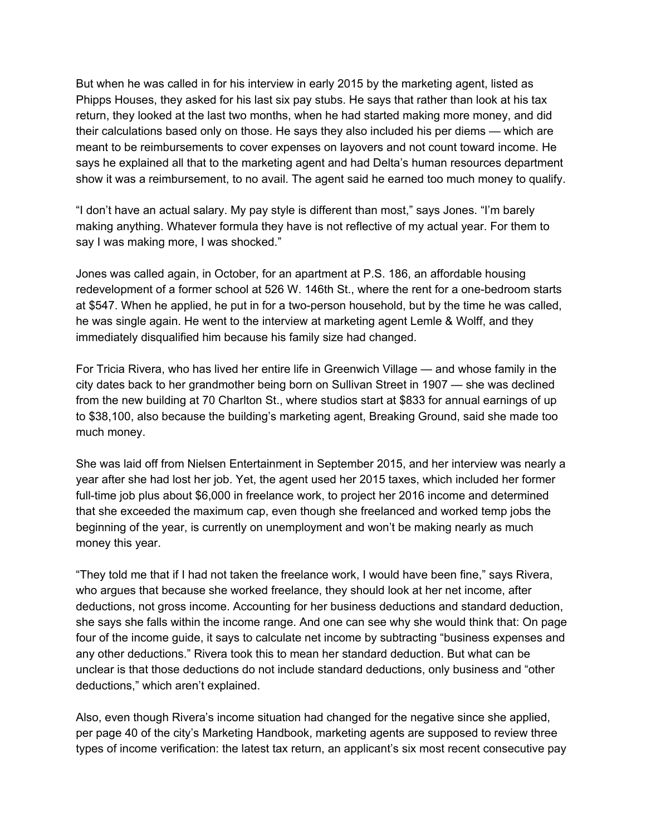But when he was called in for his interview in early 2015 by the marketing agent, listed as Phipps Houses, they asked for his last six pay stubs. He says that rather than look at his tax return, they looked at the last two months, when he had started making more money, and did their calculations based only on those. He says they also included his per diems — which are meant to be reimbursements to cover expenses on layovers and not count toward income. He says he explained all that to the marketing agent and had Delta's human resources department show it was a reimbursement, to no avail. The agent said he earned too much money to qualify.

"I don't have an actual salary. My pay style is different than most," says Jones. "I'm barely making anything. Whatever formula they have is not reflective of my actual year. For them to say I was making more, I was shocked."

Jones was called again, in October, for an apartment at P.S. 186, an affordable housing redevelopment of a former school at 526 W. 146th St., where the rent for a one-bedroom starts at \$547. When he applied, he put in for a two-person household, but by the time he was called, he was single again. He went to the interview at marketing agent Lemle & Wolff, and they immediately disqualified him because his family size had changed.

For Tricia Rivera, who has lived her entire life in Greenwich Village — and whose family in the city dates back to her grandmother being born on Sullivan Street in 1907 — she was declined from the new building at 70 Charlton St., where studios start at \$833 for annual earnings of up to \$38,100, also because the building's marketing agent, Breaking Ground, said she made too much money.

She was laid off from Nielsen Entertainment in September 2015, and her interview was nearly a year after she had lost her job. Yet, the agent used her 2015 taxes, which included her former full-time job plus about \$6,000 in freelance work, to project her 2016 income and determined that she exceeded the maximum cap, even though she freelanced and worked temp jobs the beginning of the year, is currently on unemployment and won't be making nearly as much money this year.

"They told me that if I had not taken the freelance work, I would have been fine," says Rivera, who argues that because she worked freelance, they should look at her net income, after deductions, not gross income. Accounting for her business deductions and standard deduction, she says she falls within the income range. And one can see why she would think that: On page four of the income guide, it says to calculate net income by subtracting "business expenses and any other deductions." Rivera took this to mean her standard deduction. But what can be unclear is that those deductions do not include standard deductions, only business and "other deductions," which aren't explained.

Also, even though Rivera's income situation had changed for the negative since she applied, per page 40 of the city's Marketing Handbook, marketing agents are supposed to review three types of income verification: the latest tax return, an applicant's six most recent consecutive pay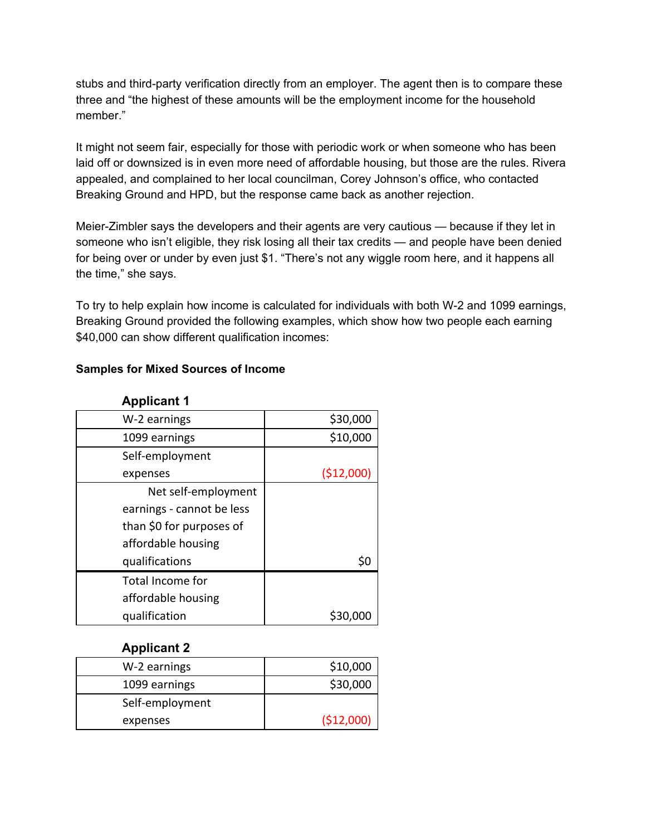stubs and third-party verification directly from an employer. The agent then is to compare these three and "the highest of these amounts will be the employment income for the household member."

It might not seem fair, especially for those with periodic work or when someone who has been laid off or downsized is in even more need of affordable housing, but those are the rules. Rivera appealed, and complained to her local councilman, Corey Johnson's office, who contacted Breaking Ground and HPD, but the response came back as another rejection.

Meier-Zimbler says the developers and their agents are very cautious — because if they let in someone who isn't eligible, they risk losing all their tax credits — and people have been denied for being over or under by even just \$1. "There's not any wiggle room here, and it happens all the time," she says.

To try to help explain how income is calculated for individuals with both W-2 and 1099 earnings, Breaking Ground provided the following examples, which show how two people each earning \$40,000 can show different qualification incomes:

#### **Samples for Mixed Sources of Income**

| W-2 earnings              | \$30,000   |
|---------------------------|------------|
| 1099 earnings             | \$10,000   |
| Self-employment           |            |
| expenses                  | (\$12,000) |
| Net self-employment       |            |
| earnings - cannot be less |            |
| than \$0 for purposes of  |            |
| affordable housing        |            |
| qualifications            |            |
| <b>Total Income for</b>   |            |
| affordable housing        |            |
| qualification             |            |

#### **Applicant 1**

#### **Applicant 2**

| W-2 earnings    | \$10,000   |
|-----------------|------------|
| 1099 earnings   | \$30,000   |
| Self-employment |            |
| expenses        | (\$12,000) |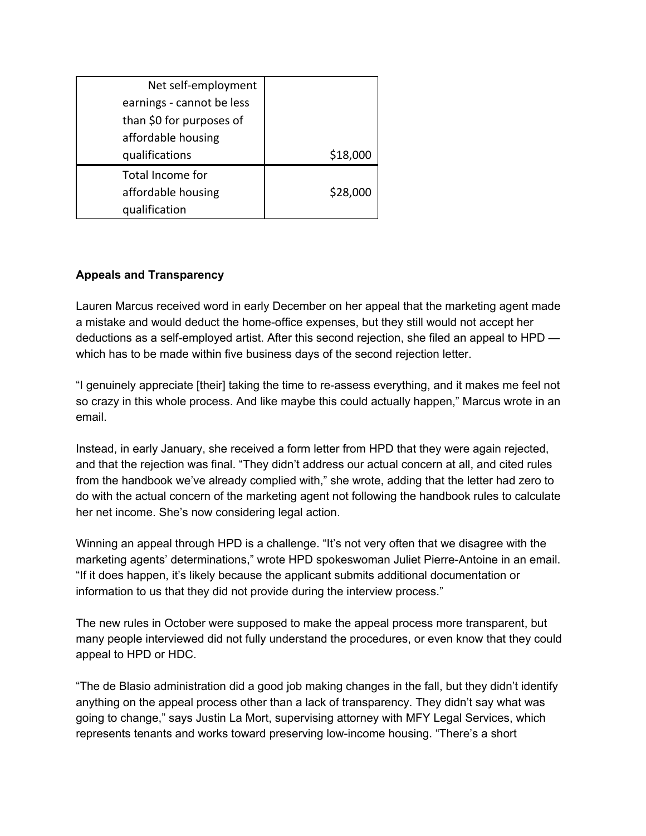| Net self-employment       |          |
|---------------------------|----------|
| earnings - cannot be less |          |
| than \$0 for purposes of  |          |
| affordable housing        |          |
| qualifications            | \$18,000 |
| Total Income for          |          |
| affordable housing        | \$28,000 |
| qualification             |          |

## **Appeals and Transparency**

Lauren Marcus received word in early December on her appeal that the marketing agent made a mistake and would deduct the home-office expenses, but they still would not accept her deductions as a self-employed artist. After this second rejection, she filed an appeal to HPD which has to be made within five business days of the second rejection letter.

"I genuinely appreciate [their] taking the time to re-assess everything, and it makes me feel not so crazy in this whole process. And like maybe this could actually happen," Marcus wrote in an email.

Instead, in early January, she received a form letter from HPD that they were again rejected, and that the rejection was final. "They didn't address our actual concern at all, and cited rules from the handbook we've already complied with," she wrote, adding that the letter had zero to do with the actual concern of the marketing agent not following the handbook rules to calculate her net income. She's now considering legal action.

Winning an appeal through HPD is a challenge. "It's not very often that we disagree with the marketing agents' determinations," wrote HPD spokeswoman Juliet Pierre-Antoine in an email. "If it does happen, it's likely because the applicant submits additional documentation or information to us that they did not provide during the interview process."

The new rules in October were supposed to make the appeal process more transparent, but many people interviewed did not fully understand the procedures, or even know that they could appeal to HPD or HDC.

"The de Blasio administration did a good job making changes in the fall, but they didn't identify anything on the appeal process other than a lack of transparency. They didn't say what was going to change," says Justin La Mort, supervising attorney with MFY Legal Services, which represents tenants and works toward preserving low-income housing. "There's a short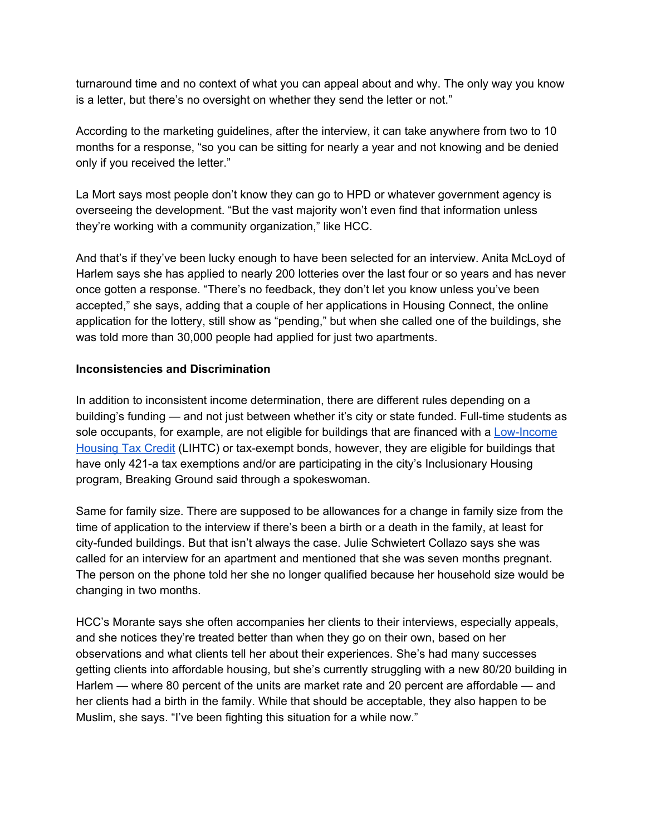turnaround time and no context of what you can appeal about and why. The only way you know is a letter, but there's no oversight on whether they send the letter or not."

According to the marketing guidelines, after the interview, it can take anywhere from two to 10 months for a response, "so you can be sitting for nearly a year and not knowing and be denied only if you received the letter."

La Mort says most people don't know they can go to HPD or whatever government agency is overseeing the development. "But the vast majority won't even find that information unless they're working with a community organization," like HCC.

And that's if they've been lucky enough to have been selected for an interview. Anita McLoyd of Harlem says she has applied to nearly 200 lotteries over the last four or so years and has never once gotten a response. "There's no feedback, they don't let you know unless you've been accepted," she says, adding that a couple of her applications in Housing Connect, the online application for the lottery, still show as "pending," but when she called one of the buildings, she was told more than 30,000 people had applied for just two apartments.

## **Inconsistencies and Discrimination**

In addition to inconsistent income determination, there are different rules depending on a building's funding — and not just between whether it's city or state funded. Full-time students as sole occupants, for example, are not eligible for buildings that are financed with a [Low-Income](https://www1.nyc.gov/assets/hpd/downloads/pdf/LIHTC/HOME-LowIncomeHousing-Tax-CreditGuidebook.pdf) [Housing Tax Credit](https://www1.nyc.gov/assets/hpd/downloads/pdf/LIHTC/HOME-LowIncomeHousing-Tax-CreditGuidebook.pdf) (LIHTC) or tax-exempt bonds, however, they are eligible for buildings that have only 421-a tax exemptions and/or are participating in the city's Inclusionary Housing program, Breaking Ground said through a spokeswoman.

Same for family size. There are supposed to be allowances for a change in family size from the time of application to the interview if there's been a birth or a death in the family, at least for city-funded buildings. But that isn't always the case. Julie Schwietert Collazo says she was called for an interview for an apartment and mentioned that she was seven months pregnant. The person on the phone told her she no longer qualified because her household size would be changing in two months.

HCC's Morante says she often accompanies her clients to their interviews, especially appeals, and she notices they're treated better than when they go on their own, based on her observations and what clients tell her about their experiences. She's had many successes getting clients into affordable housing, but she's currently struggling with a new 80/20 building in Harlem — where 80 percent of the units are market rate and 20 percent are affordable — and her clients had a birth in the family. While that should be acceptable, they also happen to be Muslim, she says. "I've been fighting this situation for a while now."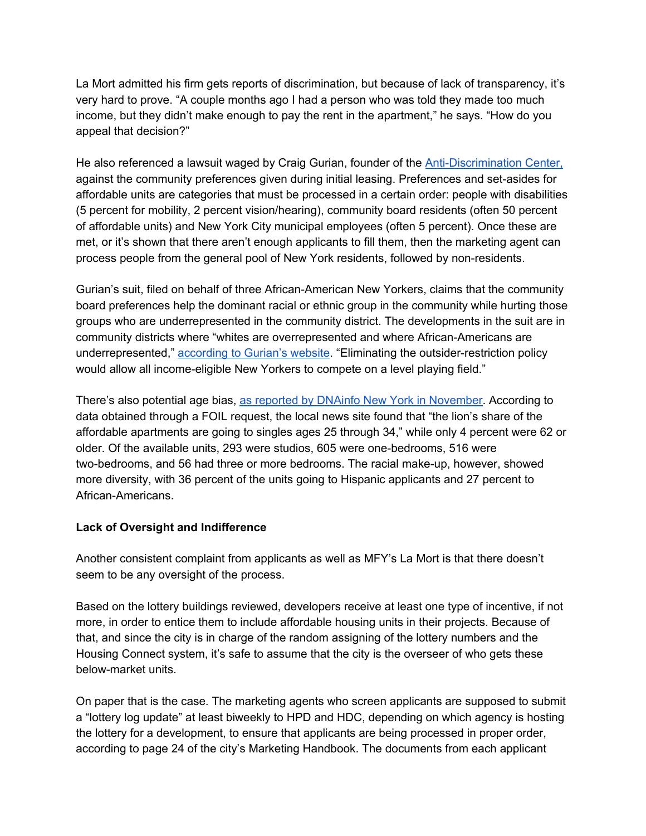La Mort admitted his firm gets reports of discrimination, but because of lack of transparency, it's very hard to prove. "A couple months ago I had a person who was told they made too much income, but they didn't make enough to pay the rent in the apartment," he says. "How do you appeal that decision?"

He also referenced a lawsuit waged by Craig Gurian, founder of the [Anti-Discrimination](http://www.antibiaslaw.com/) Center, against the community preferences given during initial leasing. Preferences and set-asides for affordable units are categories that must be processed in a certain order: people with disabilities (5 percent for mobility, 2 percent vision/hearing), community board residents (often 50 percent of affordable units) and New York City municipal employees (often 5 percent). Once these are met, or it's shown that there aren't enough applicants to fill them, then the marketing agent can process people from the general pool of New York residents, followed by non-residents.

Gurian's suit, filed on behalf of three African-American New Yorkers, claims that the community board preferences help the dominant racial or ethnic group in the community while hurting those groups who are underrepresented in the community district. The developments in the suit are in community districts where "whites are overrepresented and where African-Americans are underrepresented," according to [Gurian's website.](http://www.antibiaslaw.com/orp) "Eliminating the outsider-restriction policy would allow all income-eligible New Yorkers to compete on a level playing field."

There's also potential age bias, [as reported](https://www.dnainfo.com/new-york/20161116/upper-east-side/affordable-housing-lottery-demographics-winners-new-york-city) by DNAinfo New York in November. According to data obtained through a FOIL request, the local news site found that "the lion's share of the affordable apartments are going to singles ages 25 through 34," while only 4 percent were 62 or older. Of the available units, 293 were studios, 605 were one-bedrooms, 516 were two-bedrooms, and 56 had three or more bedrooms. The racial make-up, however, showed more diversity, with 36 percent of the units going to Hispanic applicants and 27 percent to African-Americans.

#### **Lack of Oversight and Indifference**

Another consistent complaint from applicants as well as MFY's La Mort is that there doesn't seem to be any oversight of the process.

Based on the lottery buildings reviewed, developers receive at least one type of incentive, if not more, in order to entice them to include affordable housing units in their projects. Because of that, and since the city is in charge of the random assigning of the lottery numbers and the Housing Connect system, it's safe to assume that the city is the overseer of who gets these below-market units.

On paper that is the case. The marketing agents who screen applicants are supposed to submit a "lottery log update" at least biweekly to HPD and HDC, depending on which agency is hosting the lottery for a development, to ensure that applicants are being processed in proper order, according to page 24 of the city's Marketing Handbook. The documents from each applicant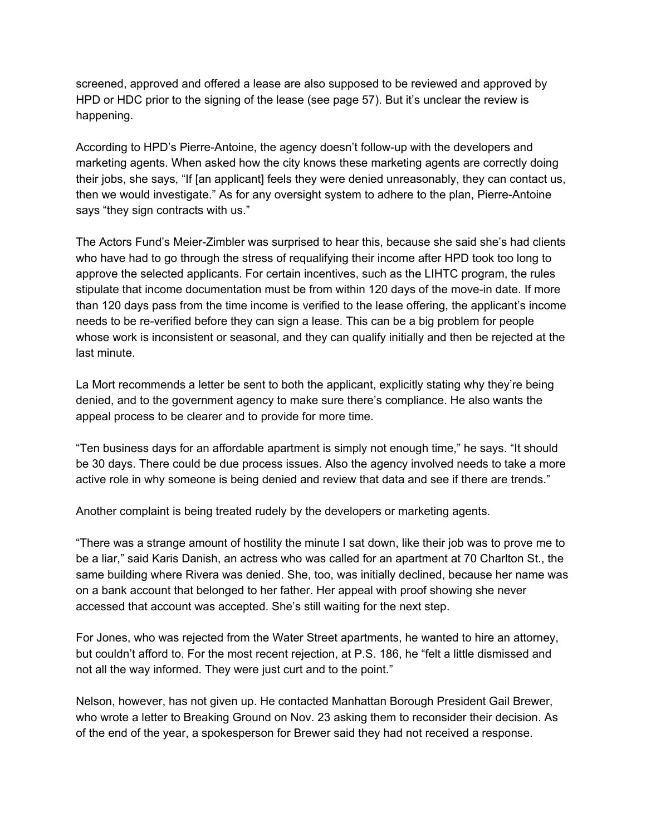screened, approved and offered a lease are also supposed to be reviewed and approved by HPD or HDC prior to the signing of the lease (see page 57). But it's unclear the review is happening.

According to HPD's Pierre-Antoine, the agency doesn't follow-up with the developers and marketing agents. When asked how the city knows these marketing agents are correctly doing their jobs, she says, "If [an applicant] feels they were denied unreasonably, they can contact us, then we would investigate." As for any oversight system to adhere to the plan, Pierre-Antoine says "they sign contracts with us."

The Actors Fund's Meier-Zimbler was surprised to hear this, because she said she's had clients who have had to go through the stress of requalifying their income after HPD took too long to approve the selected applicants. For certain incentives, such as the LIHTC program, the rules stipulate that income documentation must be from within 120 days of the move-in date. If more than 120 days pass from the time income is verified to the lease offering, the applicant's income needs to be re-verified before they can sign a lease. This can be a big problem for people whose work is inconsistent or seasonal, and they can qualify initially and then be rejected at the last minute.

La Mort recommends a letter be sent to both the applicant, explicitly stating why they're being denied, and to the government agency to make sure there's compliance. He also wants the appeal process to be clearer and to provide for more time.

"Ten business days for an affordable apartment is simply not enough time," he says. "It should be 30 days. There could be due process issues. Also the agency involved needs to take a more active role in why someone is being denied and review that data and see if there are trends."

Another complaint is being treated rudely by the developers or marketing agents.

"There was a strange amount of hostility the minute I sat down, like their job was to prove me to be a liar," said Karis Danish, an actress who was called for an apartment at 70 Charlton St., the same building where Rivera was denied. She, too, was initially declined, because her name was on a bank account that belonged to her father. Her appeal with proof showing she never accessed that account was accepted. She's still waiting for the next step.

For Jones, who was rejected from the Water Street apartments, he wanted to hire an attorney, but couldn't afford to. For the most recent rejection, at P.S. 186, he "felt a little dismissed and not all the way informed. They were just curt and to the point."

Nelson, however, has not given up. He contacted Manhattan Borough President Gail Brewer, who wrote a letter to Breaking Ground on Nov. 23 asking them to reconsider their decision. As of the end of the year, a spokesperson for Brewer said they had not received a response.